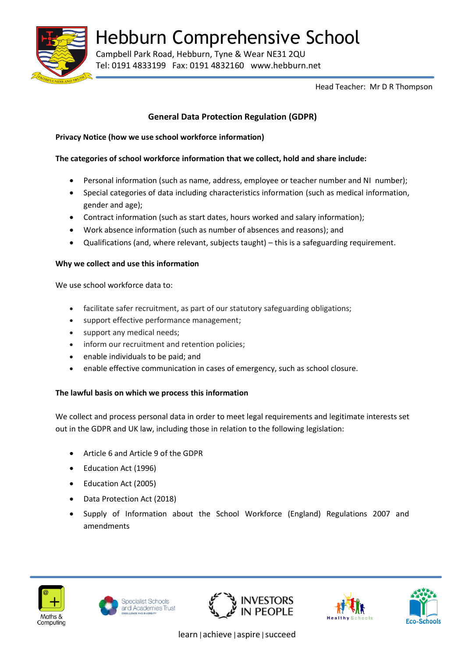

Hebburn Comprehensive School

Campbell Park Road, Hebburn, Tyne & Wear NE31 2QU Tel: 0191 4833199 Fax: 0191 4832160 www.hebburn.net

Head Teacher: Mr D R Thompson

# **General Data Protection Regulation (GDPR)**

## **Privacy Notice (how we use school workforce information)**

## **The categories of school workforce information that we collect, hold and share include:**

- Personal information (such as name, address, employee or teacher number and NI number);
- Special categories of data including characteristics information (such as medical information, gender and age);
- Contract information (such as start dates, hours worked and salary information);
- Work absence information (such as number of absences and reasons); and
- Qualifications (and, where relevant, subjects taught) this is a safeguarding requirement.

## **Why we collect and use this information**

We use school workforce data to:

- facilitate safer recruitment, as part of our statutory safeguarding obligations;
- support effective performance management;
- support any medical needs;
- inform our recruitment and retention policies;
- enable individuals to be paid; and
- enable effective communication in cases of emergency, such as school closure.

## **The lawful basis on which we process this information**

We collect and process personal data in order to meet legal requirements and legitimate interests set out in the GDPR and UK law, including those in relation to the following legislation:

- Article 6 and Article 9 of the GDPR
- Education Act (1996)
- Education Act (2005)
- Data Protection Act (2018)
- Supply of Information about the School Workforce (England) Regulations 2007 and amendments











learn|achieve|aspire|succeed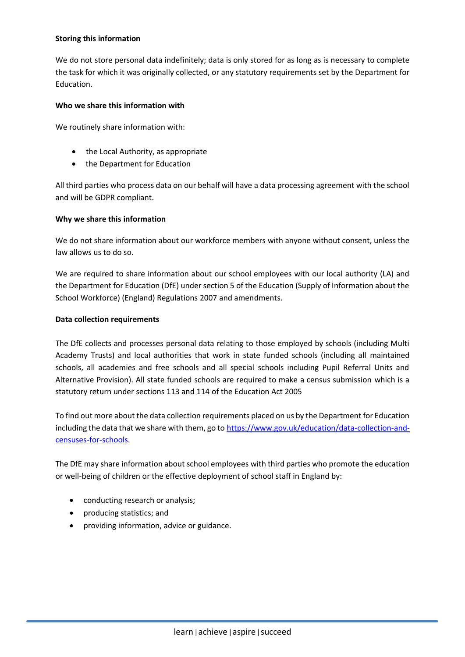#### **Storing this information**

We do not store personal data indefinitely; data is only stored for as long as is necessary to complete the task for which it was originally collected, or any statutory requirements set by the Department for Education.

#### **Who we share this information with**

We routinely share information with:

- the Local Authority, as appropriate
- the Department for Education

All third parties who process data on our behalf will have a data processing agreement with the school and will be GDPR compliant.

#### **Why we share this information**

We do not share information about our workforce members with anyone without consent, unless the law allows us to do so.

We are required to share information about our school employees with our local authority (LA) and the Department for Education (DfE) under section 5 of the Education (Supply of Information about the School Workforce) (England) Regulations 2007 and amendments.

#### **Data collection requirements**

The DfE collects and processes personal data relating to those employed by schools (including Multi Academy Trusts) and local authorities that work in state funded schools (including all maintained schools, all academies and free schools and all special schools including Pupil Referral Units and Alternative Provision). All state funded schools are required to make a census submission which is a statutory return under sections 113 and 114 of the Education Act 2005

To find out more about the data collection requirements placed on us by the Department for Education including the data that we share with them, go to [https://www.gov.uk/education/data-collection-and](https://www.gov.uk/education/data-collection-and-censuses-for-schools)[censuses-for-schools.](https://www.gov.uk/education/data-collection-and-censuses-for-schools)

The DfE may share information about school employees with third parties who promote the education or well-being of children or the effective deployment of school staff in England by:

- conducting research or analysis;
- producing statistics; and
- providing information, advice or guidance.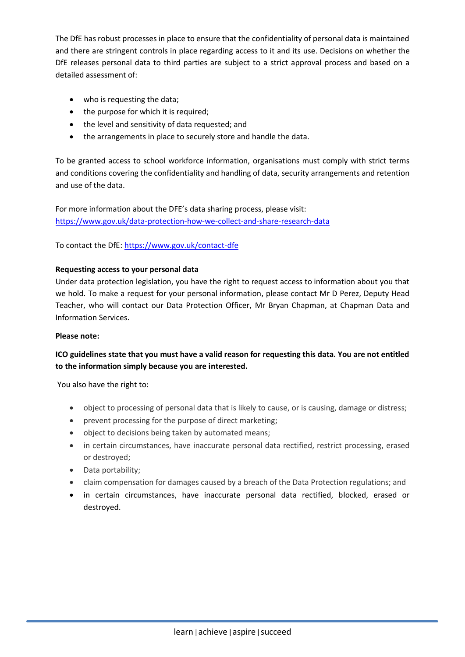The DfE has robust processes in place to ensure that the confidentiality of personal data is maintained and there are stringent controls in place regarding access to it and its use. Decisions on whether the DfE releases personal data to third parties are subject to a strict approval process and based on a detailed assessment of:

- who is requesting the data;
- the purpose for which it is required;
- the level and sensitivity of data requested; and
- the arrangements in place to securely store and handle the data.

To be granted access to school workforce information, organisations must comply with strict terms and conditions covering the confidentiality and handling of data, security arrangements and retention and use of the data.

For more information about the DFE's data sharing process, please visit: <https://www.gov.uk/data-protection-how-we-collect-and-share-research-data>

To contact the DfE:<https://www.gov.uk/contact-dfe>

#### **Requesting access to your personal data**

Under data protection legislation, you have the right to request access to information about you that we hold. To make a request for your personal information, please contact Mr D Perez, Deputy Head Teacher, who will contact our Data Protection Officer, Mr Bryan Chapman, at Chapman Data and Information Services.

#### **Please note:**

## **ICO guidelines state that you must have a valid reason for requesting this data. You are not entitled to the information simply because you are interested.**

You also have the right to:

- object to processing of personal data that is likely to cause, or is causing, damage or distress;
- prevent processing for the purpose of direct marketing;
- object to decisions being taken by automated means;
- in certain circumstances, have inaccurate personal data rectified, restrict processing, erased or destroyed;
- Data portability;
- claim compensation for damages caused by a breach of the Data Protection regulations; and
- in certain circumstances, have inaccurate personal data rectified, blocked, erased or destroyed.